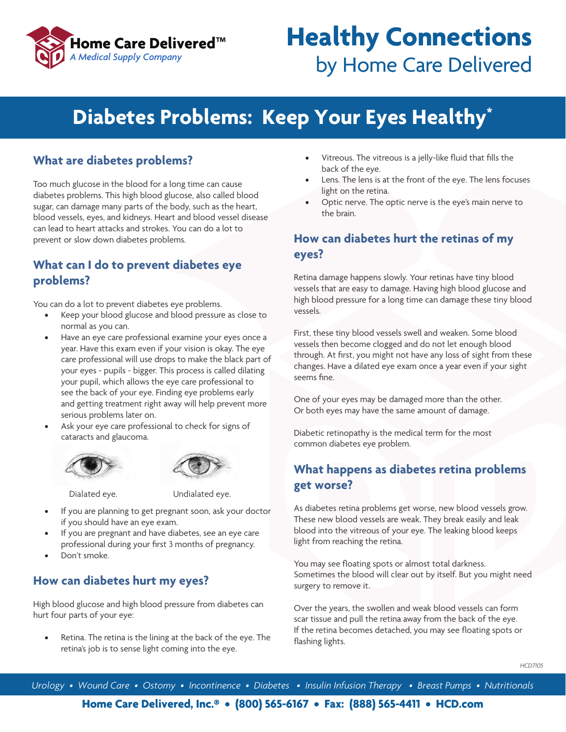

# **Healthy Connections** by Home Care Delivered

# **Diabetes Problems: Keep Your Eyes Healthy\***

#### **What are diabetes problems?**

Too much glucose in the blood for a long time can cause diabetes problems. This high blood glucose, also called blood sugar, can damage many parts of the body, such as the heart, blood vessels, eyes, and kidneys. Heart and blood vessel disease can lead to heart attacks and strokes. You can do a lot to prevent or slow down diabetes problems.

#### **What can I do to prevent diabetes eye problems?**

You can do a lot to prevent diabetes eye problems.

- Keep your blood glucose and blood pressure as close to normal as you can.
- Have an eye care professional examine your eyes once a year. Have this exam even if your vision is okay. The eye care professional will use drops to make the black part of your eyes - pupils - bigger. This process is called dilating your pupil, which allows the eye care professional to see the back of your eye. Finding eye problems early and getting treatment right away will help prevent more serious problems later on.
- Ask your eye care professional to check for signs of cataracts and glaucoma.





Dialated eye. Undialated eye.

- If you are planning to get pregnant soon, ask your doctor if you should have an eye exam.
- If you are pregnant and have diabetes, see an eye care professional during your first 3 months of pregnancy.
- Don't smoke.

# **How can diabetes hurt my eyes?**

High blood glucose and high blood pressure from diabetes can hurt four parts of your eye:

Retina. The retina is the lining at the back of the eye. The retina's job is to sense light coming into the eye.

- Vitreous. The vitreous is a jelly-like fluid that fills the back of the eye.
- Lens. The lens is at the front of the eye. The lens focuses light on the retina.
- Optic nerve. The optic nerve is the eye's main nerve to the brain.

## **How can diabetes hurt the retinas of my eyes?**

Retina damage happens slowly. Your retinas have tiny blood vessels that are easy to damage. Having high blood glucose and high blood pressure for a long time can damage these tiny blood vessels.

First, these tiny blood vessels swell and weaken. Some blood vessels then become clogged and do not let enough blood through. At first, you might not have any loss of sight from these changes. Have a dilated eye exam once a year even if your sight seems fine.

One of your eyes may be damaged more than the other. Or both eyes may have the same amount of damage.

Diabetic retinopathy is the medical term for the most common diabetes eye problem.

# **What happens as diabetes retina problems get worse?**

As diabetes retina problems get worse, new blood vessels grow. These new blood vessels are weak. They break easily and leak blood into the vitreous of your eye. The leaking blood keeps light from reaching the retina.

You may see floating spots or almost total darkness. Sometimes the blood will clear out by itself. But you might need surgery to remove it.

Over the years, the swollen and weak blood vessels can form scar tissue and pull the retina away from the back of the eye. If the retina becomes detached, you may see floating spots or flashing lights.

*Urology • Wound Care • Ostomy • Incontinence • Diabetes • Insulin Infusion Therapy • Breast Pumps • Nutritionals*

**Home Care Delivered, Inc.® • (800) 565-6167 • Fax: (888) 565-4411 • HCD.com**